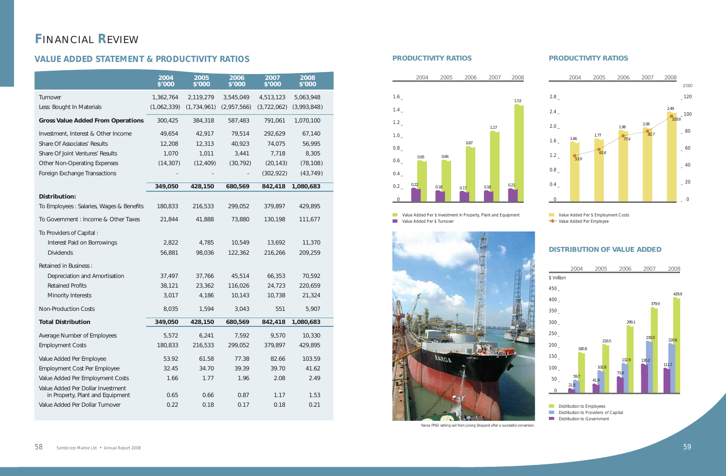# **F**INANCIAL **R**EVIEW

### **VALUE ADDED STATEMENT & PRODUCTIVITY RATIOS**

|                                          | 2004<br>\$'000 | 2005<br>\$'000 | 2006<br>\$'000 | 2007<br>\$'000 | 2008<br>\$'000 |  |
|------------------------------------------|----------------|----------------|----------------|----------------|----------------|--|
| Turnover                                 | 1,362,764      | 2,119,279      | 3,545,049      | 4,513,123      | 5,063,948      |  |
| Less: Bought In Materials                | (1,062,339)    | (1,734,961)    | (2,957,566)    | (3,722,062)    | (3,993,848)    |  |
| <b>Gross Value Added From Operations</b> | 300,425        | 384,318        | 587,483        | 791,061        | 1,070,100      |  |
| Investment, Interest & Other Income      | 49,654         | 42,917         | 79,514         | 292,629        | 67,140         |  |
| Share Of Associates' Results             | 12,208         | 12,313         | 40,923         | 74,075         | 56,995         |  |
| Share Of Joint Ventures' Results         | 1,070          | 1,011          | 3,441          | 7,718          | 8,305          |  |
| <b>Other Non-Operating Expenses</b>      | (14, 307)      | (12, 409)      | (30, 792)      | (20, 143)      | (78, 108)      |  |
| Foreign Exchange Transactions            |                |                |                | (302, 922)     | (43, 749)      |  |
|                                          | 349,050        | 428,150        | 680,569        | 842,418        | 1,080,683      |  |
| <b>Distribution:</b>                     |                |                |                |                |                |  |
| To Employees: Salaries, Wages & Benefits | 180,833        | 216,533        | 299,052        | 379,897        | 429,895        |  |
| To Government : Income & Other Taxes     | 21,844         | 41,888         | 73,880         | 130,198        | 111,677        |  |
| To Providers of Capital:                 |                |                |                |                |                |  |
| Interest Paid on Borrowings              | 2,822          | 4,785          | 10,549         | 13,692         | 11,370         |  |
| <b>Dividends</b>                         | 56,881         | 98,036         | 122,362        | 216,266        | 209,259        |  |
| <b>Retained in Business:</b>             |                |                |                |                |                |  |
| Depreciation and Amortisation            | 37,497         | 37,766         | 45,514         | 66,353         | 70,592         |  |
| <b>Retained Profits</b>                  | 38,121         | 23,362         | 116,026        | 24,723         | 220,659        |  |
| Minority Interests                       | 3,017          | 4,186          | 10,143         | 10,738         | 21,324         |  |
| <b>Non-Production Costs</b>              | 8,035          | 1,594          | 3,043          | 551            | 5,907          |  |
| <b>Total Distribution</b>                | 349,050        | 428,150        | 680,569        | 842,418        | 1,080,683      |  |
| Average Number of Employees              | 5,572          | 6,241          | 7,592          | 9,570          | 10,330         |  |
| <b>Employment Costs</b>                  | 180,833        | 216,533        | 299,052        | 379,897        | 429,895        |  |
| Value Added Per Employee                 | 53.92          | 61.58          | 77.38          | 82.66          | 103.59         |  |
| <b>Employment Cost Per Employee</b>      | 32.45          | 34.70          | 39.39          | 39.70          | 41.62          |  |
| Value Added Per Employment Costs         | 1.66           | 1.77           | 1.96           | 2.08           | 2.49           |  |
| Value Added Per Dollar Investment        |                |                |                |                |                |  |
| in Property, Plant and Equipment         | 0.65           | 0.66           | 0.87           | 1.17           | 1.53           |  |
| Value Added Per Dollar Turnover          | 0.22           | 0.18           | 0.17           | 0.18           | 0.21           |  |

#### *PRODUCTIVITY RATIOS*

*Value Added Per \$ Investment in Property, Plant and Equipment Value Added Per \$ Turnover*



#### *PRODUCTIVITY RATIOS*





*Value Added Per \$ Employment Costs Value Added Per Employee*

#### *DISTRIBUTION OF VALUE ADDED*

*Distribution to Employees Distribution to Providers of Capital Distribution to Government*



*Raroa FPSO setting sail from Jurong Shipyard after a successful conversion.*